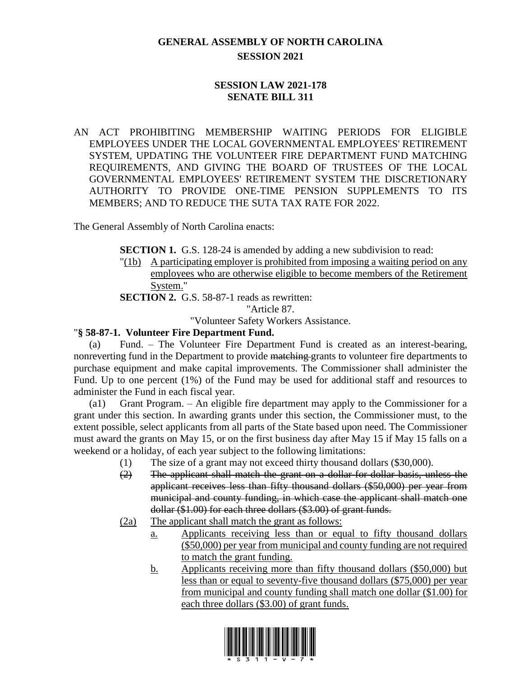## **GENERAL ASSEMBLY OF NORTH CAROLINA SESSION 2021**

## **SESSION LAW 2021-178 SENATE BILL 311**

AN ACT PROHIBITING MEMBERSHIP WAITING PERIODS FOR ELIGIBLE EMPLOYEES UNDER THE LOCAL GOVERNMENTAL EMPLOYEES' RETIREMENT SYSTEM, UPDATING THE VOLUNTEER FIRE DEPARTMENT FUND MATCHING REQUIREMENTS, AND GIVING THE BOARD OF TRUSTEES OF THE LOCAL GOVERNMENTAL EMPLOYEES' RETIREMENT SYSTEM THE DISCRETIONARY AUTHORITY TO PROVIDE ONE-TIME PENSION SUPPLEMENTS TO ITS MEMBERS; AND TO REDUCE THE SUTA TAX RATE FOR 2022.

The General Assembly of North Carolina enacts:

**SECTION 1.** G.S. 128-24 is amended by adding a new subdivision to read:

"(1b) A participating employer is prohibited from imposing a waiting period on any employees who are otherwise eligible to become members of the Retirement System."

**SECTION 2.** G.S. 58-87-1 reads as rewritten:

"Article 87. "Volunteer Safety Workers Assistance.

## "**§ 58-87-1. Volunteer Fire Department Fund.**

(a) Fund. – The Volunteer Fire Department Fund is created as an interest-bearing, nonreverting fund in the Department to provide matching grants to volunteer fire departments to purchase equipment and make capital improvements. The Commissioner shall administer the Fund. Up to one percent (1%) of the Fund may be used for additional staff and resources to administer the Fund in each fiscal year.

(a1) Grant Program. – An eligible fire department may apply to the Commissioner for a grant under this section. In awarding grants under this section, the Commissioner must, to the extent possible, select applicants from all parts of the State based upon need. The Commissioner must award the grants on May 15, or on the first business day after May 15 if May 15 falls on a weekend or a holiday, of each year subject to the following limitations:

- (1) The size of a grant may not exceed thirty thousand dollars (\$30,000).
- (2) The applicant shall match the grant on a dollar-for-dollar basis, unless the applicant receives less than fifty thousand dollars (\$50,000) per year from municipal and county funding, in which case the applicant shall match one dollar (\$1.00) for each three dollars (\$3.00) of grant funds.
- (2a) The applicant shall match the grant as follows:
	- a. Applicants receiving less than or equal to fifty thousand dollars (\$50,000) per year from municipal and county funding are not required to match the grant funding.
	- b. Applicants receiving more than fifty thousand dollars (\$50,000) but less than or equal to seventy-five thousand dollars (\$75,000) per year from municipal and county funding shall match one dollar (\$1.00) for each three dollars (\$3.00) of grant funds.

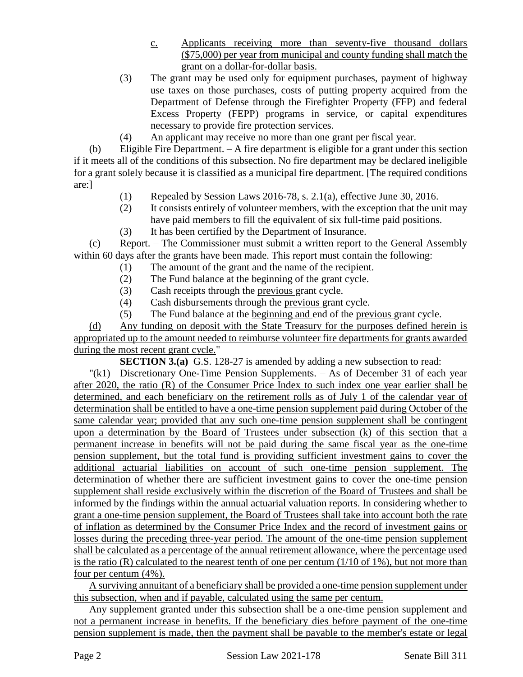- c. Applicants receiving more than seventy-five thousand dollars (\$75,000) per year from municipal and county funding shall match the grant on a dollar-for-dollar basis.
- (3) The grant may be used only for equipment purchases, payment of highway use taxes on those purchases, costs of putting property acquired from the Department of Defense through the Firefighter Property (FFP) and federal Excess Property (FEPP) programs in service, or capital expenditures necessary to provide fire protection services.
- (4) An applicant may receive no more than one grant per fiscal year.

(b) Eligible Fire Department. – A fire department is eligible for a grant under this section if it meets all of the conditions of this subsection. No fire department may be declared ineligible for a grant solely because it is classified as a municipal fire department. [The required conditions are:]

- (1) Repealed by Session Laws 2016-78, s. 2.1(a), effective June 30, 2016.
- (2) It consists entirely of volunteer members, with the exception that the unit may have paid members to fill the equivalent of six full-time paid positions.
- (3) It has been certified by the Department of Insurance.

(c) Report. – The Commissioner must submit a written report to the General Assembly within 60 days after the grants have been made. This report must contain the following:

- (1) The amount of the grant and the name of the recipient.
- (2) The Fund balance at the beginning of the grant cycle.
- (3) Cash receipts through the previous grant cycle.
- (4) Cash disbursements through the previous grant cycle.
- (5) The Fund balance at the beginning and end of the previous grant cycle.

(d) Any funding on deposit with the State Treasury for the purposes defined herein is appropriated up to the amount needed to reimburse volunteer fire departments for grants awarded during the most recent grant cycle."

**SECTION 3.(a)** G.S. 128-27 is amended by adding a new subsection to read:

"(k1) Discretionary One-Time Pension Supplements. – As of December 31 of each year after 2020, the ratio (R) of the Consumer Price Index to such index one year earlier shall be determined, and each beneficiary on the retirement rolls as of July 1 of the calendar year of determination shall be entitled to have a one-time pension supplement paid during October of the same calendar year; provided that any such one-time pension supplement shall be contingent upon a determination by the Board of Trustees under subsection (k) of this section that a permanent increase in benefits will not be paid during the same fiscal year as the one-time pension supplement, but the total fund is providing sufficient investment gains to cover the additional actuarial liabilities on account of such one-time pension supplement. The determination of whether there are sufficient investment gains to cover the one-time pension supplement shall reside exclusively within the discretion of the Board of Trustees and shall be informed by the findings within the annual actuarial valuation reports. In considering whether to grant a one-time pension supplement, the Board of Trustees shall take into account both the rate of inflation as determined by the Consumer Price Index and the record of investment gains or losses during the preceding three-year period. The amount of the one-time pension supplement shall be calculated as a percentage of the annual retirement allowance, where the percentage used is the ratio (R) calculated to the nearest tenth of one per centum  $(1/10 \text{ of } 1\%)$ , but not more than four per centum (4%).

A surviving annuitant of a beneficiary shall be provided a one-time pension supplement under this subsection, when and if payable, calculated using the same per centum.

Any supplement granted under this subsection shall be a one-time pension supplement and not a permanent increase in benefits. If the beneficiary dies before payment of the one-time pension supplement is made, then the payment shall be payable to the member's estate or legal